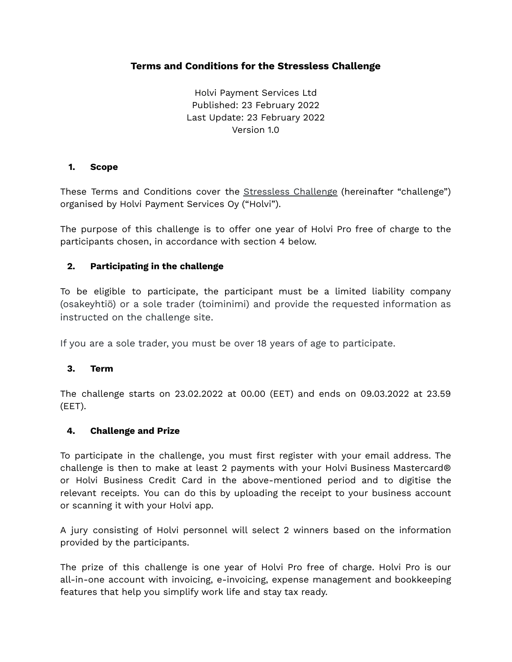# **Terms and Conditions for the Stressless Challenge**

Holvi Payment Services Ltd Published: 23 February 2022 Last Update: 23 February 2022 Version 1.0

#### **1. Scope**

These Terms and Conditions cover the **[Stressless](https://blog.holvi.com/stressless-challenge) Challenge** (hereinafter "challenge") organised by Holvi Payment Services Oy ("Holvi").

The purpose of this challenge is to offer one year of Holvi Pro free of charge to the participants chosen, in accordance with section 4 below.

#### **2. Participating in the challenge**

To be eligible to participate, the participant must be a limited liability company (osakeyhtiö) or a sole trader (toiminimi) and provide the requested information as instructed on the challenge site.

If you are a sole trader, you must be over 18 years of age to participate.

#### **3. Term**

The challenge starts on 23.02.2022 at 00.00 (EET) and ends on 09.03.2022 at 23.59 (EET).

#### **4. Challenge and Prize**

To participate in the challenge, you must first register with your email address. The challenge is then to make at least 2 payments with your Holvi Business Mastercard® or Holvi Business Credit Card in the above-mentioned period and to digitise the relevant receipts. You can do this by uploading the receipt to your business account or scanning it with your Holvi app.

A jury consisting of Holvi personnel will select 2 winners based on the information provided by the participants.

The prize of this challenge is one year of Holvi Pro free of charge. Holvi Pro is our all-in-one account with invoicing, e-invoicing, expense management and bookkeeping features that help you simplify work life and stay tax ready.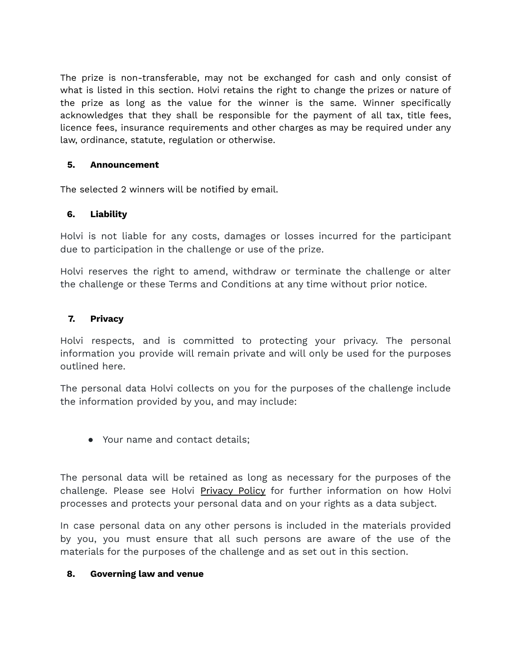The prize is non-transferable, may not be exchanged for cash and only consist of what is listed in this section. Holvi retains the right to change the prizes or nature of the prize as long as the value for the winner is the same. Winner specifically acknowledges that they shall be responsible for the payment of all tax, title fees, licence fees, insurance requirements and other charges as may be required under any law, ordinance, statute, regulation or otherwise.

# **5. Announcement**

The selected 2 winners will be notified by email.

# **6. Liability**

Holvi is not liable for any costs, damages or losses incurred for the participant due to participation in the challenge or use of the prize.

Holvi reserves the right to amend, withdraw or terminate the challenge or alter the challenge or these Terms and Conditions at any time without prior notice.

# **7. Privacy**

Holvi respects, and is committed to protecting your privacy. The personal information you provide will remain private and will only be used for the purposes outlined here.

The personal data Holvi collects on you for the purposes of the challenge include the information provided by you, and may include:

● Your name and contact details;

The personal data will be retained as long as necessary for the purposes of the challenge. Please see Holvi [Privacy](https://support.holvi.com/hc/en-gb/articles/202260402-Privacy-Policy) Policy for further information on how Holvi processes and protects your personal data and on your rights as a data subject.

In case personal data on any other persons is included in the materials provided by you, you must ensure that all such persons are aware of the use of the materials for the purposes of the challenge and as set out in this section.

#### **8. Governing law and venue**